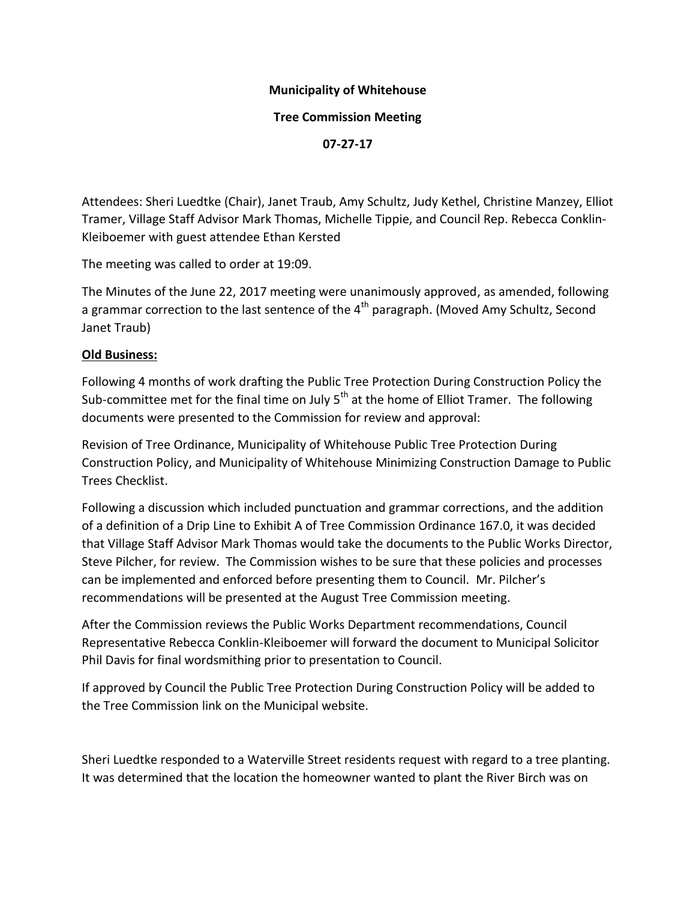# **Municipality of Whitehouse**

#### **Tree Commission Meeting**

**07-27-17**

Attendees: Sheri Luedtke (Chair), Janet Traub, Amy Schultz, Judy Kethel, Christine Manzey, Elliot Tramer, Village Staff Advisor Mark Thomas, Michelle Tippie, and Council Rep. Rebecca Conklin-Kleiboemer with guest attendee Ethan Kersted

The meeting was called to order at 19:09.

The Minutes of the June 22, 2017 meeting were unanimously approved, as amended, following a grammar correction to the last sentence of the  $4<sup>th</sup>$  paragraph. (Moved Amy Schultz, Second Janet Traub)

### **Old Business:**

Following 4 months of work drafting the Public Tree Protection During Construction Policy the Sub-committee met for the final time on July  $5<sup>th</sup>$  at the home of Elliot Tramer. The following documents were presented to the Commission for review and approval:

Revision of Tree Ordinance, Municipality of Whitehouse Public Tree Protection During Construction Policy, and Municipality of Whitehouse Minimizing Construction Damage to Public Trees Checklist.

Following a discussion which included punctuation and grammar corrections, and the addition of a definition of a Drip Line to Exhibit A of Tree Commission Ordinance 167.0, it was decided that Village Staff Advisor Mark Thomas would take the documents to the Public Works Director, Steve Pilcher, for review. The Commission wishes to be sure that these policies and processes can be implemented and enforced before presenting them to Council. Mr. Pilcher's recommendations will be presented at the August Tree Commission meeting.

After the Commission reviews the Public Works Department recommendations, Council Representative Rebecca Conklin-Kleiboemer will forward the document to Municipal Solicitor Phil Davis for final wordsmithing prior to presentation to Council.

If approved by Council the Public Tree Protection During Construction Policy will be added to the Tree Commission link on the Municipal website.

Sheri Luedtke responded to a Waterville Street residents request with regard to a tree planting. It was determined that the location the homeowner wanted to plant the River Birch was on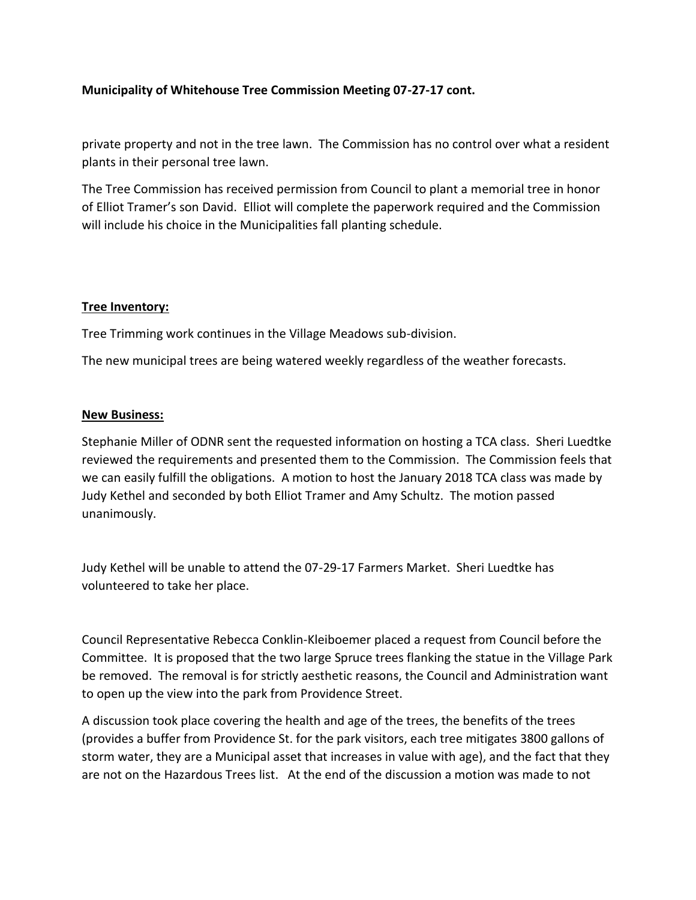# **Municipality of Whitehouse Tree Commission Meeting 07-27-17 cont.**

private property and not in the tree lawn. The Commission has no control over what a resident plants in their personal tree lawn.

The Tree Commission has received permission from Council to plant a memorial tree in honor of Elliot Tramer's son David. Elliot will complete the paperwork required and the Commission will include his choice in the Municipalities fall planting schedule.

### **Tree Inventory:**

Tree Trimming work continues in the Village Meadows sub-division.

The new municipal trees are being watered weekly regardless of the weather forecasts.

#### **New Business:**

Stephanie Miller of ODNR sent the requested information on hosting a TCA class. Sheri Luedtke reviewed the requirements and presented them to the Commission. The Commission feels that we can easily fulfill the obligations. A motion to host the January 2018 TCA class was made by Judy Kethel and seconded by both Elliot Tramer and Amy Schultz. The motion passed unanimously.

Judy Kethel will be unable to attend the 07-29-17 Farmers Market. Sheri Luedtke has volunteered to take her place.

Council Representative Rebecca Conklin-Kleiboemer placed a request from Council before the Committee. It is proposed that the two large Spruce trees flanking the statue in the Village Park be removed. The removal is for strictly aesthetic reasons, the Council and Administration want to open up the view into the park from Providence Street.

A discussion took place covering the health and age of the trees, the benefits of the trees (provides a buffer from Providence St. for the park visitors, each tree mitigates 3800 gallons of storm water, they are a Municipal asset that increases in value with age), and the fact that they are not on the Hazardous Trees list. At the end of the discussion a motion was made to not